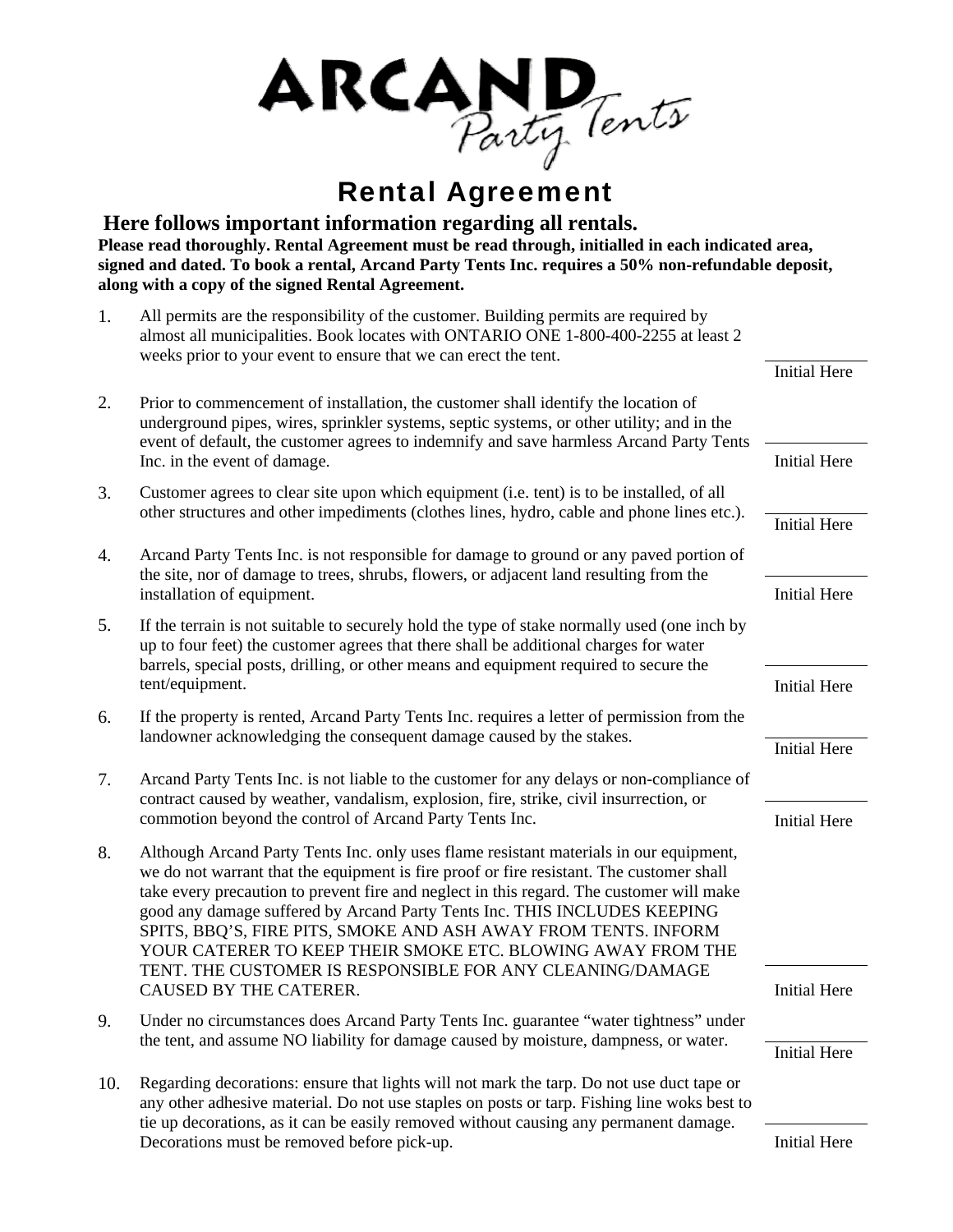

## Rental Agreement

**Here follows important information regarding all rentals. Please read thoroughly. Rental Agreement must be read through, initialled in each indicated area, signed and dated. To book a rental, Arcand Party Tents Inc. requires a 50% non-refundable deposit, along with a copy of the signed Rental Agreement.** 

| 1.  | All permits are the responsibility of the customer. Building permits are required by<br>almost all municipalities. Book locates with ONTARIO ONE 1-800-400-2255 at least 2<br>weeks prior to your event to ensure that we can erect the tent.                                                                                                                                                                                                                                                                                                             |                     |
|-----|-----------------------------------------------------------------------------------------------------------------------------------------------------------------------------------------------------------------------------------------------------------------------------------------------------------------------------------------------------------------------------------------------------------------------------------------------------------------------------------------------------------------------------------------------------------|---------------------|
|     |                                                                                                                                                                                                                                                                                                                                                                                                                                                                                                                                                           | <b>Initial Here</b> |
| 2.  | Prior to commencement of installation, the customer shall identify the location of<br>underground pipes, wires, sprinkler systems, septic systems, or other utility; and in the<br>event of default, the customer agrees to indemnify and save harmless Arcand Party Tents<br>Inc. in the event of damage.                                                                                                                                                                                                                                                |                     |
|     |                                                                                                                                                                                                                                                                                                                                                                                                                                                                                                                                                           | <b>Initial Here</b> |
| 3.  | Customer agrees to clear site upon which equipment (i.e. tent) is to be installed, of all<br>other structures and other impediments (clothes lines, hydro, cable and phone lines etc.).                                                                                                                                                                                                                                                                                                                                                                   |                     |
|     |                                                                                                                                                                                                                                                                                                                                                                                                                                                                                                                                                           | <b>Initial Here</b> |
| 4.  | Arcand Party Tents Inc. is not responsible for damage to ground or any paved portion of<br>the site, nor of damage to trees, shrubs, flowers, or adjacent land resulting from the<br>installation of equipment.                                                                                                                                                                                                                                                                                                                                           |                     |
|     |                                                                                                                                                                                                                                                                                                                                                                                                                                                                                                                                                           | <b>Initial Here</b> |
| 5.  | If the terrain is not suitable to securely hold the type of stake normally used (one inch by<br>up to four feet) the customer agrees that there shall be additional charges for water<br>barrels, special posts, drilling, or other means and equipment required to secure the<br>tent/equipment.                                                                                                                                                                                                                                                         |                     |
|     |                                                                                                                                                                                                                                                                                                                                                                                                                                                                                                                                                           | <b>Initial Here</b> |
| 6.  | If the property is rented, Arcand Party Tents Inc. requires a letter of permission from the<br>landowner acknowledging the consequent damage caused by the stakes.                                                                                                                                                                                                                                                                                                                                                                                        |                     |
|     |                                                                                                                                                                                                                                                                                                                                                                                                                                                                                                                                                           | <b>Initial Here</b> |
| 7.  | Arcand Party Tents Inc. is not liable to the customer for any delays or non-compliance of<br>contract caused by weather, vandalism, explosion, fire, strike, civil insurrection, or                                                                                                                                                                                                                                                                                                                                                                       |                     |
|     | commotion beyond the control of Arcand Party Tents Inc.                                                                                                                                                                                                                                                                                                                                                                                                                                                                                                   | <b>Initial Here</b> |
| 8.  | Although Arcand Party Tents Inc. only uses flame resistant materials in our equipment,<br>we do not warrant that the equipment is fire proof or fire resistant. The customer shall<br>take every precaution to prevent fire and neglect in this regard. The customer will make<br>good any damage suffered by Arcand Party Tents Inc. THIS INCLUDES KEEPING<br>SPITS, BBQ'S, FIRE PITS, SMOKE AND ASH AWAY FROM TENTS. INFORM<br>YOUR CATERER TO KEEP THEIR SMOKE ETC. BLOWING AWAY FROM THE<br>TENT. THE CUSTOMER IS RESPONSIBLE FOR ANY CLEANING/DAMAGE |                     |
|     | CAUSED BY THE CATERER.                                                                                                                                                                                                                                                                                                                                                                                                                                                                                                                                    | <b>Initial Here</b> |
| 9.  | Under no circumstances does Arcand Party Tents Inc. guarantee "water tightness" under<br>the tent, and assume NO liability for damage caused by moisture, dampness, or water.                                                                                                                                                                                                                                                                                                                                                                             |                     |
|     |                                                                                                                                                                                                                                                                                                                                                                                                                                                                                                                                                           | <b>Initial Here</b> |
| 10. | Regarding decorations: ensure that lights will not mark the tarp. Do not use duct tape or<br>any other adhesive material. Do not use staples on posts or tarp. Fishing line woks best to<br>tie up decorations, as it can be easily removed without causing any permanent damage.                                                                                                                                                                                                                                                                         |                     |

Decorations must be removed before pick-up. Initial Here